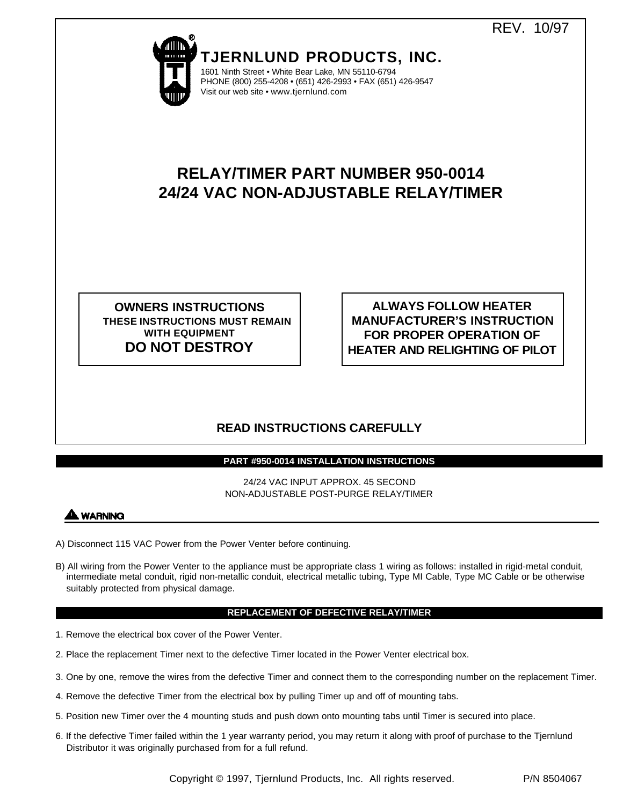

**TJERNLUND PRODUCTS, INC.** 1601 Ninth Street • White Bear Lake, MN 55110-6794

PHONE (800) 255-4208 • (651) 426-2993 • FAX (651) 426-9547 Visit our web site • www.tjernlund.com

# **RELAY/TIMER PART NUMBER 950-0014 24/24 VAC NON-ADJUSTABLE RELAY/TIMER**

**OWNERS INSTRUCTIONS THESE INSTRUCTIONS MUST REMAIN WITH EQUIPMENT DO NOT DESTROY**

**ALWAYS FOLLOW HEATER MANUFACTURER'S INSTRUCTION FOR PROPER OPERATION OF HEATER AND RELIGHTING OF PILOT**

# **READ INSTRUCTIONS CAREFULLY**

## **PART #950-0014 INSTALLATION INSTRUCTIONS**

24/24 VAC INPUT APPROX. 45 SECOND NON-ADJUSTABLE POST-PURGE RELAY/TIMER



- A) Disconnect 115 VAC Power from the Power Venter before continuing.
- B) All wiring from the Power Venter to the appliance must be appropriate class 1 wiring as follows: installed in rigid-metal conduit, intermediate metal conduit, rigid non-metallic conduit, electrical metallic tubing, Type MI Cable, Type MC Cable or be otherwise suitably protected from physical damage.

## **REPLACEMENT OF DEFECTIVE RELAY/TIMER**

- 1. Remove the electrical box cover of the Power Venter.
- 2. Place the replacement Timer next to the defective Timer located in the Power Venter electrical box.
- 3. One by one, remove the wires from the defective Timer and connect them to the corresponding number on the replacement Timer.
- 4. Remove the defective Timer from the electrical box by pulling Timer up and off of mounting tabs.
- 5. Position new Timer over the 4 mounting studs and push down onto mounting tabs until Timer is secured into place.
- 6. If the defective Timer failed within the 1 year warranty period, you may return it along with proof of purchase to the Tjernlund Distributor it was originally purchased from for a full refund.

Copyright © 1997, Tjernlund Products, Inc. All rights reserved. P/N 8504067